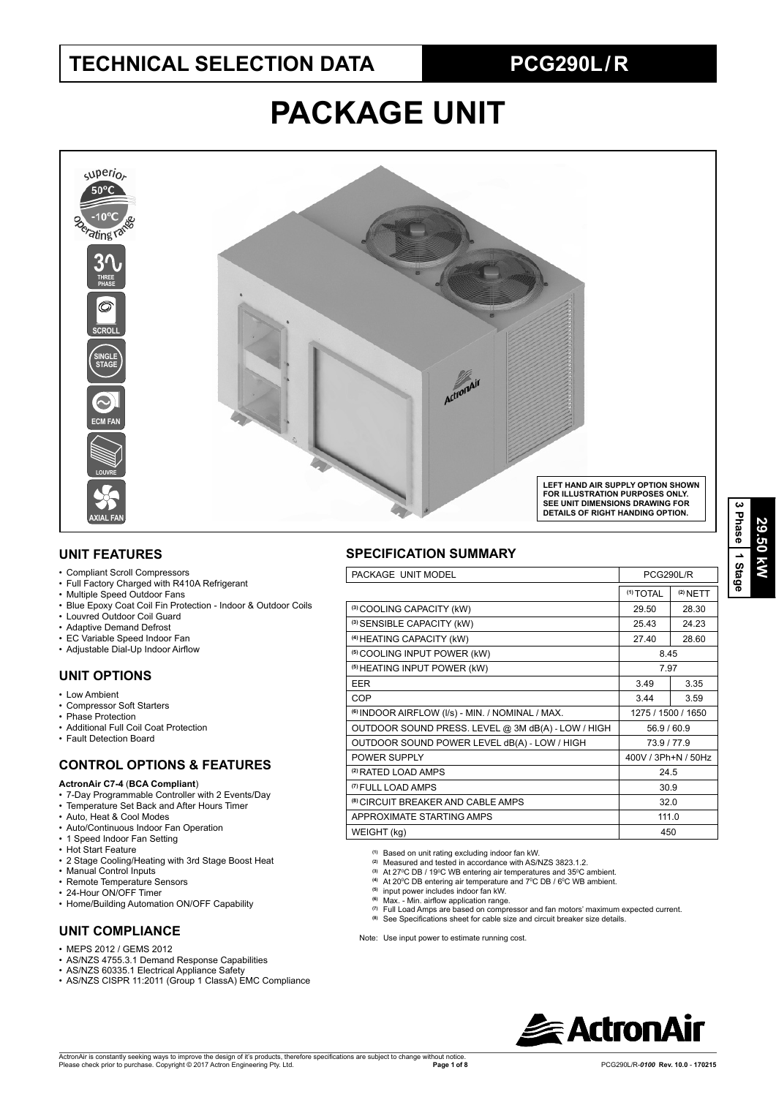## **TECHNICAL SELECTION DATA PCG290L / R**

# **PACKAGE UNIT**



#### **UNIT FEATURES**

- Compliant Scroll Compressors
- Full Factory Charged with R410A Refrigerant
- Multiple Speed Outdoor Fans
- Blue Epoxy Coat Coil Fin Protection Indoor & Outdoor Coils
- Louvred Outdoor Coil Guard
- Adaptive Demand Defrost
- EC Variable Speed Indoor Fan
- Adjustable Dial-Up Indoor Airflow

### **UNIT OPTIONS**

- Low Ambient
- Compressor Soft Starters
- Phase Protection • Additional Full Coil Coat Protection
- Fault Detection Board

### **CONTROL OPTIONS & FEATURES**

#### **ActronAir C7-4** (**BCA Compliant**)

- 7-Day Programmable Controller with 2 Events/Day
- Temperature Set Back and After Hours Timer
- Auto, Heat & Cool Modes
- Auto/Continuous Indoor Fan Operation
- 1 Speed Indoor Fan Setting
- Hot Start Feature
- 2 Stage Cooling/Heating with 3rd Stage Boost Heat
- Manual Control Inputs
- Remote Temperature Sensors
- 24-Hour ON/OFF Timer
- Home/Building Automation ON/OFF Capability

### **UNIT COMPLIANCE**

- MEPS 2012 / GEMS 2012
- AS/NZS 4755.3.1 Demand Response Capabilities
- AS/NZS 60335.1 Electrical Appliance Safety
- AS/NZS CISPR 11:2011 (Group 1 ClassA) EMC Compliance

#### **SPECIFICATION SUMMARY**

| PACKAGE UNIT MODEL                                          | PCG290L/R            |            |
|-------------------------------------------------------------|----------------------|------------|
|                                                             | <sup>(1)</sup> TOTAL | $(2)$ NETT |
| (3) COOLING CAPACITY (kW)                                   | 29.50                | 28.30      |
| (3) SENSIBLE CAPACITY (kW)                                  | 25.43                | 24.23      |
| <sup>(4)</sup> HEATING CAPACITY (kW)                        | 27.40                | 28.60      |
| <sup>(5)</sup> COOLING INPUT POWER (kW)                     | 8.45                 |            |
| <sup>(5)</sup> HEATING INPUT POWER (kW)                     | 7.97                 |            |
| <b>EER</b>                                                  | 3.49                 | 3.35       |
| COP                                                         | 3.44                 | 3.59       |
| <sup>(6)</sup> INDOOR AIRFLOW (I/s) - MIN. / NOMINAL / MAX. | 1275 / 1500 / 1650   |            |
| OUTDOOR SOUND PRESS. LEVEL @ 3M dB(A) - LOW / HIGH          | 56.9 / 60.9          |            |
| OUTDOOR SOUND POWER LEVEL dB(A) - LOW / HIGH                | 73.9/77.9            |            |
| POWER SUPPLY                                                | 400V / 3Ph+N / 50Hz  |            |
| <sup>(2)</sup> RATED LOAD AMPS                              | 24.5                 |            |
| <sup>(7)</sup> FULL LOAD AMPS                               | 30.9                 |            |
| <sup>(8)</sup> CIRCUIT BREAKER AND CABLE AMPS               | 32.0                 |            |
| APPROXIMATE STARTING AMPS                                   | 111.0                |            |
| WEIGHT (kg)                                                 | 450                  |            |

**(1)** Based on unit rating excluding indoor fan kW. **(2)** Measured and tested in accordance with AS/NZS 3823.1.2.

- 
- <sup>(3)</sup> At 27<sup>o</sup>C DB / 19<sup>o</sup>C WB entering air temperatures and 35<sup>o</sup>C ambient.<br><sup>(4)</sup> At 20<sup>o</sup>C DB entering air temperature and 7<sup>o</sup>C DB / 6<sup>o</sup>C WB ambient.
- **(5)** input power includes indoor fan kW.
- <sup>(6)</sup> Max. Min. airflow application range.
- **(7)** Full Load Amps are based on compressor and fan motors' maximum expected current.
- (8) See Specifications sheet for cable size and circuit breaker size details.

Note: Use input power to estimate running cost.

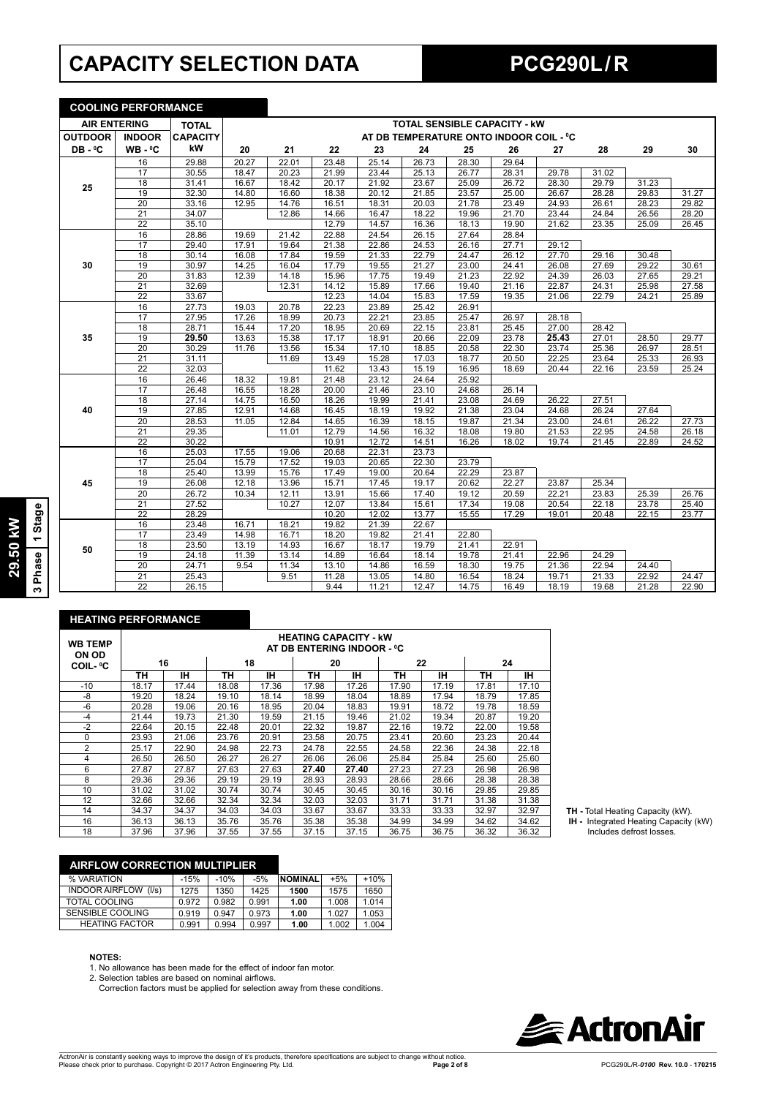## **CAPACITY SELECTION DATA PCG290L / R**

**COOLING PERFORMANCE**

|                     | <u>UUULINU FENFUNIMMINUE</u> |                 |       |       |                    |       |       |                                         |       |       |       |       |       |
|---------------------|------------------------------|-----------------|-------|-------|--------------------|-------|-------|-----------------------------------------|-------|-------|-------|-------|-------|
| <b>AIR ENTERING</b> |                              | <b>TOTAL</b>    |       |       |                    |       |       | <b>TOTAL SENSIBLE CAPACITY - KW</b>     |       |       |       |       |       |
| <b>OUTDOOR</b>      | <b>INDOOR</b>                | <b>CAPACITY</b> |       |       |                    |       |       | AT DB TEMPERATURE ONTO INDOOR COIL - °C |       |       |       |       |       |
| DB-°C               | $WB - C$                     | kW              | 20    | 21    | 22                 | 23    | 24    | 25                                      | 26    | 27    | 28    | 29    | 30    |
|                     | 16                           | 29.88           | 20.27 | 22.01 | 23.48              | 25.14 | 26.73 | 28.30                                   | 29.64 |       |       |       |       |
|                     | 17                           | 30.55           | 18.47 | 20.23 | 21.99              | 23.44 | 25.13 | 26.77                                   | 28.31 | 29.78 | 31.02 |       |       |
| 25                  | 18                           | 31.41           | 16.67 | 18.42 | 20.17              | 21.92 | 23.67 | 25.09                                   | 26.72 | 28.30 | 29.79 | 31.23 |       |
|                     | 19                           | 32.30           | 14.80 | 16.60 | 18.38              | 20.12 | 21.85 | 23.57                                   | 25.00 | 26.67 | 28.28 | 29.83 | 31.27 |
|                     | $\overline{20}$              | 33.16           | 12.95 | 14.76 | 16.51              | 18.31 | 20.03 | 21.78                                   | 23.49 | 24.93 | 26.61 | 28.23 | 29.82 |
|                     | $\overline{21}$              | 34.07           |       | 12.86 | 14.66              | 16.47 | 18.22 | 19.96                                   | 21.70 | 23.44 | 24.84 | 26.56 | 28.20 |
|                     | $\overline{22}$              | 35.10           |       |       | 12.79              | 14.57 | 16.36 | 18.13                                   | 19.90 | 21.62 | 23.35 | 25.09 | 26.45 |
|                     | 16                           | 28.86           | 19.69 | 21.42 | 22.88              | 24.54 | 26.15 | 27.64                                   | 28.84 |       |       |       |       |
|                     | 17                           | 29.40           | 17.91 | 19.64 | 21.38              | 22.86 | 24.53 | 26.16                                   | 27.71 | 29.12 |       |       |       |
|                     | 18                           | 30.14           | 16.08 | 17.84 | 19.59              | 21.33 | 22.79 | 24.47                                   | 26.12 | 27.70 | 29.16 | 30.48 |       |
| 30                  | 19                           | 30.97           | 14.25 | 16.04 | 17.79              | 19.55 | 21.27 | 23.00                                   | 24.41 | 26.08 | 27.69 | 29.22 | 30.61 |
|                     | $\overline{20}$              | 31.83           | 12.39 | 14.18 | 15.96              | 17.75 | 19.49 | 21.23                                   | 22.92 | 24.39 | 26.03 | 27.65 | 29.21 |
|                     | 21                           | 32.69           |       | 12.31 | 14.12              | 15.89 | 17.66 | 19.40                                   | 21.16 | 22.87 | 24.31 | 25.98 | 27.58 |
|                     | $\overline{22}$              | 33.67           |       |       | 12.23              | 14.04 | 15.83 | 17.59                                   | 19.35 | 21.06 | 22.79 | 24.21 | 25.89 |
|                     | 16                           | 27.73           | 19.03 | 20.78 | 22.23              | 23.89 | 25.42 | 26.91                                   |       |       |       |       |       |
|                     | 17                           | 27.95           | 17.26 | 18.99 | 20.73              | 22.21 | 23.85 | 25.47                                   | 26.97 | 28.18 |       |       |       |
|                     | 18                           | 28.71           | 15.44 | 17.20 | 18.95              | 20.69 | 22.15 | 23.81                                   | 25.45 | 27.00 | 28.42 |       |       |
| 35                  | 19                           | 29.50           | 13.63 | 15.38 | $\overline{17.17}$ | 18.91 | 20.66 | 22.09                                   | 23.78 | 25.43 | 27.01 | 28.50 | 29.77 |
|                     | $\overline{20}$              | 30.29           | 11.76 | 13.56 | 15.34              | 17.10 | 18.85 | 20.58                                   | 22.30 | 23.74 | 25.36 | 26.97 | 28.51 |
|                     | 21                           | 31.11           |       | 11.69 | 13.49              | 15.28 | 17.03 | 18.77                                   | 20.50 | 22.25 | 23.64 | 25.33 | 26.93 |
|                     | $\overline{22}$              | 32.03           |       |       | 11.62              | 13.43 | 15.19 | 16.95                                   | 18.69 | 20.44 | 22.16 | 23.59 | 25.24 |
|                     | 16                           | 26.46           | 18.32 | 19.81 | 21.48              | 23.12 | 24.64 | 25.92                                   |       |       |       |       |       |
|                     | 17                           | 26.48           | 16.55 | 18.28 | 20.00              | 21.46 | 23.10 | 24.68                                   | 26.14 |       |       |       |       |
|                     | $\overline{18}$              | 27.14           | 14.75 | 16.50 | 18.26              | 19.99 | 21.41 | 23.08                                   | 24.69 | 26.22 | 27.51 |       |       |
| 40                  | 19                           | 27.85           | 12.91 | 14.68 | 16.45              | 18.19 | 19.92 | 21.38                                   | 23.04 | 24.68 | 26.24 | 27.64 |       |
|                     | 20                           | 28.53           | 11.05 | 12.84 | 14.65              | 16.39 | 18.15 | 19.87                                   | 21.34 | 23.00 | 24.61 | 26.22 | 27.73 |
|                     | 21                           | 29.35           |       | 11.01 | 12.79              | 14.56 | 16.32 | 18.08                                   | 19.80 | 21.53 | 22.95 | 24.58 | 26.18 |
|                     | $\overline{22}$              | 30.22           |       |       | 10.91              | 12.72 | 14.51 | 16.26                                   | 18.02 | 19.74 | 21.45 | 22.89 | 24.52 |
|                     | 16                           | 25.03           | 17.55 | 19.06 | 20.68              | 22.31 | 23.73 |                                         |       |       |       |       |       |
|                     | 17                           | 25.04           | 15.79 | 17.52 | 19.03              | 20.65 | 22.30 | 23.79                                   |       |       |       |       |       |
|                     | 18                           | 25.40           | 13.99 | 15.76 | 17.49              | 19.00 | 20.64 | 22.29                                   | 23.87 |       |       |       |       |
| 45                  | 19                           | 26.08           | 12.18 | 13.96 | 15.71              | 17.45 | 19.17 | 20.62                                   | 22.27 | 23.87 | 25.34 |       |       |
|                     | 20                           | 26.72           | 10.34 | 12.11 | 13.91              | 15.66 | 17.40 | 19.12                                   | 20.59 | 22.21 | 23.83 | 25.39 | 26.76 |
|                     | $\overline{21}$              | 27.52           |       | 10.27 | 12.07              | 13.84 | 15.61 | 17.34                                   | 19.08 | 20.54 | 22.18 | 23.78 | 25.40 |
|                     | $\overline{22}$              | 28.29           |       |       | 10.20              | 12.02 | 13.77 | 15.55                                   | 17.29 | 19.01 | 20.48 | 22.15 | 23.77 |
|                     | 16                           | 23.48           | 16.71 | 18.21 | 19.82              | 21.39 | 22.67 |                                         |       |       |       |       |       |
|                     | $\overline{17}$              | 23.49           | 14.98 | 16.71 | 18.20              | 19.82 | 21.41 | 22.80                                   |       |       |       |       |       |
| 50                  | 18                           | 23.50           | 13.19 | 14.93 | 16.67              | 18.17 | 19.79 | 21.41                                   | 22.91 |       |       |       |       |
|                     | 19                           | 24.18           | 11.39 | 13.14 | 14.89              | 16.64 | 18.14 | 19.78                                   | 21.41 | 22.96 | 24.29 |       |       |
|                     | $\overline{20}$              | 24.71           | 9.54  | 11.34 | 13.10              | 14.86 | 16.59 | 18.30                                   | 19.75 | 21.36 | 22.94 | 24.40 |       |
|                     | $\overline{21}$              | 25.43           |       | 9.51  | 11.28              | 13.05 | 14.80 | 16.54                                   | 18.24 | 19.71 | 21.33 | 22.92 | 24.47 |
|                     | $\overline{22}$              | 26.15           |       |       | 9.44               | 11.21 | 12.47 | 14.75                                   | 16.49 | 18.19 | 19.68 | 21.28 | 22.90 |

#### **HEATING PERFORMANCE**

| <b>WB TEMP</b><br>ON OD | <b>HEATING CAPACITY - kW</b><br>AT DB ENTERING INDOOR - °C |       |       |       |       |       |       |       |       |       |
|-------------------------|------------------------------------------------------------|-------|-------|-------|-------|-------|-------|-------|-------|-------|
| COIL- ºC                |                                                            | 16    |       | 18    | 20    |       | 22    |       | 24    |       |
|                         | ΤН                                                         | IH.   | ΤН    | ін    | ΤН    | IН    | TН    | ۱Н    | TН    | IΗ    |
| $-10$                   | 18.17                                                      | 17.44 | 18.08 | 17.36 | 17.98 | 17.26 | 17.90 | 17.19 | 17.81 | 17.10 |
| -8                      | 19.20                                                      | 18.24 | 19.10 | 18.14 | 18.99 | 18.04 | 18.89 | 17.94 | 18.79 | 17.85 |
| -6                      | 20.28                                                      | 19.06 | 20.16 | 18.95 | 20.04 | 18.83 | 19.91 | 18.72 | 19.78 | 18.59 |
| $-4$                    | 21.44                                                      | 19.73 | 21.30 | 19.59 | 21.15 | 19.46 | 21.02 | 19.34 | 20.87 | 19.20 |
| $-2$                    | 22.64                                                      | 20.15 | 22.48 | 20.01 | 22.32 | 19.87 | 22.16 | 19.72 | 22.00 | 19.58 |
| $\Omega$                | 23.93                                                      | 21.06 | 23.76 | 20.91 | 23.58 | 20.75 | 23.41 | 20.60 | 23.23 | 20.44 |
| 2                       | 25.17                                                      | 22.90 | 24.98 | 22.73 | 24.78 | 22.55 | 24.58 | 22.36 | 24.38 | 22.18 |
| 4                       | 26.50                                                      | 26.50 | 26.27 | 26.27 | 26.06 | 26.06 | 25.84 | 25.84 | 25.60 | 25.60 |
| 6                       | 27.87                                                      | 27.87 | 27.63 | 27.63 | 27.40 | 27.40 | 27.23 | 27.23 | 26.98 | 26.98 |
| 8                       | 29.36                                                      | 29.36 | 29.19 | 29.19 | 28.93 | 28.93 | 28.66 | 28.66 | 28.38 | 28.38 |
| 10                      | 31.02                                                      | 31.02 | 30.74 | 30.74 | 30.45 | 30.45 | 30.16 | 30.16 | 29.85 | 29.85 |
| 12                      | 32.66                                                      | 32.66 | 32.34 | 32.34 | 32.03 | 32.03 | 31.71 | 31.71 | 31.38 | 31.38 |
| 14                      | 34.37                                                      | 34.37 | 34.03 | 34.03 | 33.67 | 33.67 | 33.33 | 33.33 | 32.97 | 32.97 |
| 16                      | 36.13                                                      | 36.13 | 35.76 | 35.76 | 35.38 | 35.38 | 34.99 | 34.99 | 34.62 | 34.62 |
| 18                      | 37.96                                                      | 37.96 | 37.55 | 37.55 | 37.15 | 37.15 | 36.75 | 36.75 | 36.32 | 36.32 |

**TH -** Total Heating Capacity (kW).

 **IH -** Integrated Heating Capacity (kW) Includes defrost losses.

#### **AIRFLOW CORRECTION MULTIPLIER**

| % VARIATION                    | $-15%$ | $-10%$ | $-5%$ | <b>NOMINAL</b> | $+5%$ | $+10%$ |
|--------------------------------|--------|--------|-------|----------------|-------|--------|
| <b>INDOOR AIRFLOW</b><br>(1/s) | 1275   | 1350   | 1425  | 1500           | 1575  | 1650   |
| TOTAL COOLING                  | 0.972  | 0.982  | 0.991 | 1.00           | 1.008 | 1.014  |
| SENSIBLE COOLING               | 0.919  | 0.947  | 0.973 | 1.00           | 1.027 | 1.053  |
| <b>HEATING FACTOR</b>          | 0.991  | 0.994  | 0.997 | 1.00           | 1.002 | 1.004  |
|                                |        |        |       |                |       |        |

#### **NOTES:**

1. No allowance has been made for the effect of indoor fan motor.<br>2. Selection tables are based on nominal airflows.

Correction factors must be applied for selection away from these conditions.



**29.50 kW 3 Phase 1 Stage**

3 Phase 1 Stage 29.50 kW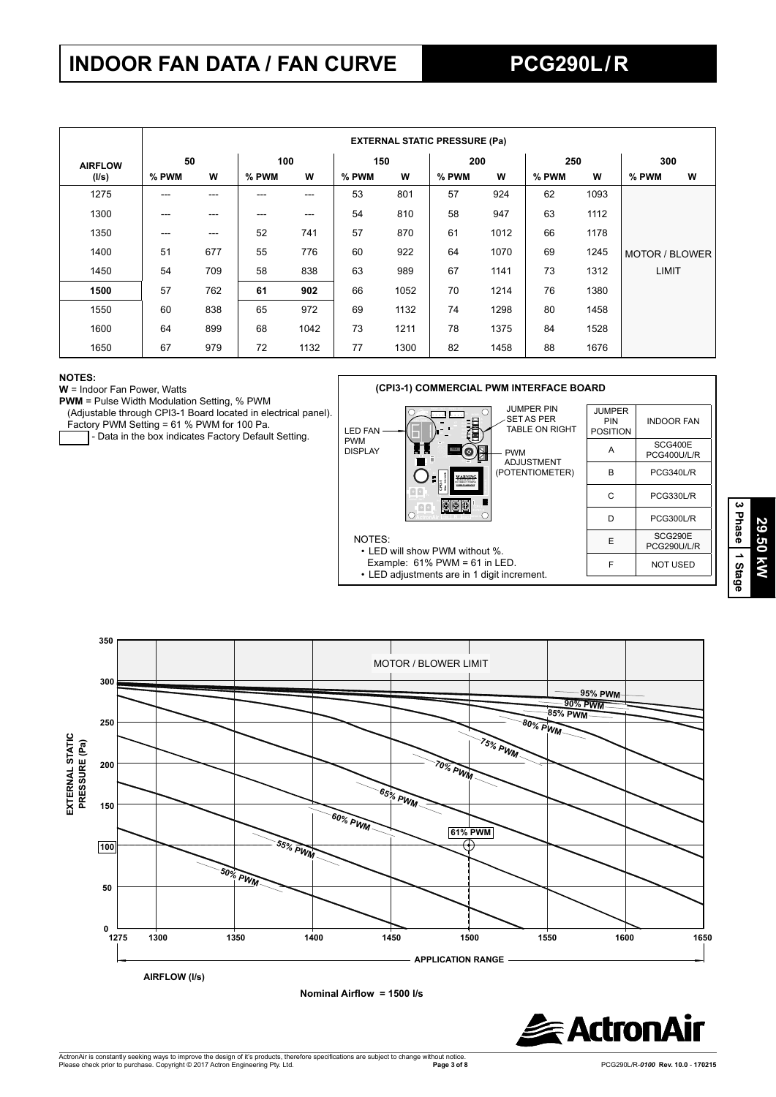## **INDOOR FAN DATA / FAN CURVE PCG290L / R**

|                |       | <b>EXTERNAL STATIC PRESSURE (Pa)</b> |       |      |       |      |       |      |       |      |                |   |
|----------------|-------|--------------------------------------|-------|------|-------|------|-------|------|-------|------|----------------|---|
| <b>AIRFLOW</b> | 50    |                                      | 100   |      | 150   |      | 200   |      | 250   |      | 300            |   |
| (I/s)          | % PWM | W                                    | % PWM | W    | % PWM | w    | % PWM | W    | % PWM | W    | % PWM          | W |
| 1275           | ---   | ---                                  | ---   | ---  | 53    | 801  | 57    | 924  | 62    | 1093 |                |   |
| 1300           | $---$ | $---$                                | ---   | ---  | 54    | 810  | 58    | 947  | 63    | 1112 |                |   |
| 1350           | $---$ | ---                                  | 52    | 741  | 57    | 870  | 61    | 1012 | 66    | 1178 |                |   |
| 1400           | 51    | 677                                  | 55    | 776  | 60    | 922  | 64    | 1070 | 69    | 1245 | MOTOR / BLOWER |   |
| 1450           | 54    | 709                                  | 58    | 838  | 63    | 989  | 67    | 1141 | 73    | 1312 | <b>LIMIT</b>   |   |
| 1500           | 57    | 762                                  | 61    | 902  | 66    | 1052 | 70    | 1214 | 76    | 1380 |                |   |
| 1550           | 60    | 838                                  | 65    | 972  | 69    | 1132 | 74    | 1298 | 80    | 1458 |                |   |
| 1600           | 64    | 899                                  | 68    | 1042 | 73    | 1211 | 78    | 1375 | 84    | 1528 |                |   |
| 1650           | 67    | 979                                  | 72    | 1132 | 77    | 1300 | 82    | 1458 | 88    | 1676 |                |   |

#### **NOTES:**

**W** = Indoor Fan Power, Watts

**PWM** = Pulse Width Modulation Setting, % PWM

(Adjustable through CPI3-1 Board located in electrical panel).

Factory PWM Setting = 61 % PWM for 100 Pa.

- Data in the box indicates Factory Default Setting.



**350** MOTOR / BLOWER LIMIT **300 95% PWM 90% PWM 85% PWM 80% PWM 250** EXTERNAL STATIC<br>PRESSURE (Pa) **75% PWM EXTERNAL STATIC PRESSURE (Pa) 200 70% PWM 65% PWM 150 60% PWM 61% PWM 55% PWM 100 50% PWM 50**  $_{0}^{0}$  <del>L</del> **1275 1300 1350 1400 1450 1500 1550 1600 1650 APPLICATION RANGE AIRFLOW (l/s)**



**3 Phase**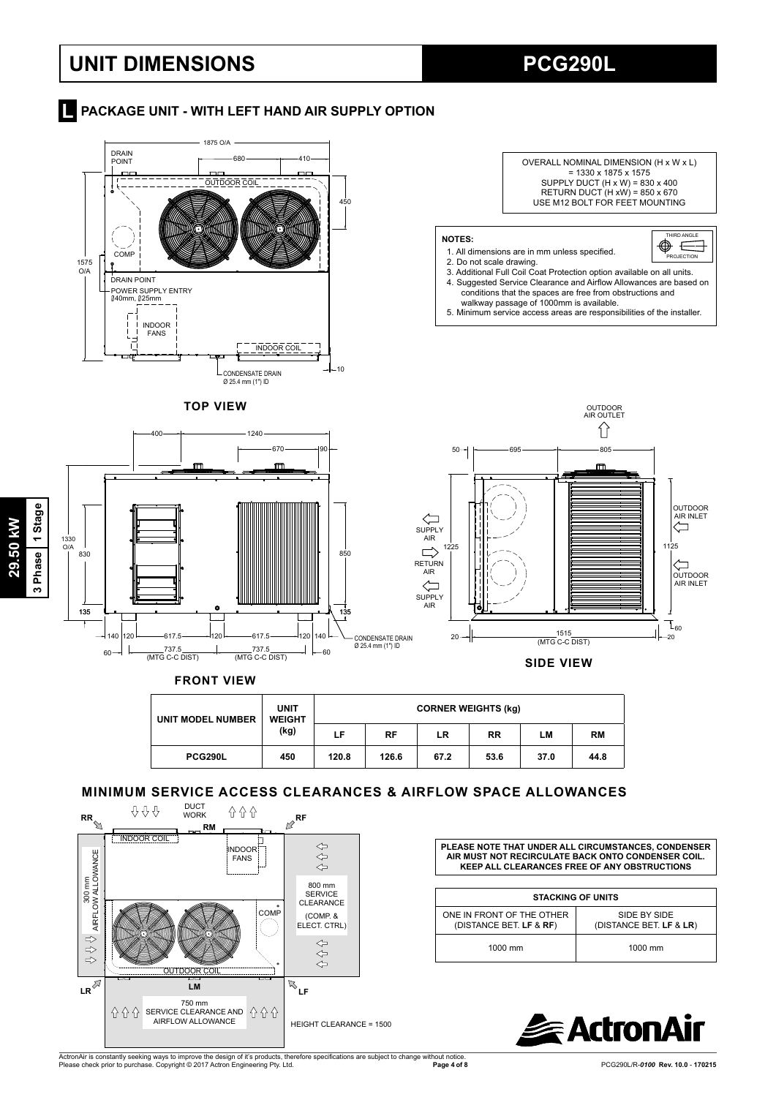## **UNIT DIMENSIONS PCG290L**

**Report AT A PACKAGE UNIT - WITH LEFT HAND AIR SUPPLY OPTION** 



| . <del>.</del> |  |
|----------------|--|
|                |  |

| <b>UNIT MODEL NUMBER</b> | <b>UNIT</b><br><b>WEIGHT</b><br>(kg) | <b>CORNER WEIGHTS (kg)</b> |       |      |           |      |           |  |
|--------------------------|--------------------------------------|----------------------------|-------|------|-----------|------|-----------|--|
|                          |                                      | LF                         | RF    | LR   | <b>RR</b> | LМ   | <b>RM</b> |  |
| <b>PCG290L</b>           | 450                                  | 120.8                      | 126.6 | 67.2 | 53.6      | 37.0 | 44.8      |  |

### **MINIMUM SERVICE ACCESS CLEARANCES & AIRFLOW SPACE ALLOWANCES**



 $\Gamma$ 

**PLEASE NOTE THAT UNDER ALL CIRCUMSTANCES, CONDENSER AIR MUST NOT RECIRCULATE BACK ONTO CONDENSER COIL. KEEP ALL CLEARANCES FREE OF ANY OBSTRUCTIONS**

| <b>STACKING OF UNITS</b>                             |                                         |  |  |  |  |  |  |
|------------------------------------------------------|-----------------------------------------|--|--|--|--|--|--|
| ONE IN FRONT OF THE OTHER<br>(DISTANCE BET. LF & RF) | SIDE BY SIDE<br>(DISTANCE BET. LF & LR) |  |  |  |  |  |  |
| 1000 mm                                              | $1000$ mm                               |  |  |  |  |  |  |



ActronAir is constantly seeking ways to improve the design of it's products, therefore specifications are subject to change without notice.<br>Please check prior to purchase. Copyright © 2017 Actron Engineering Pty. Ltd.

**Page 4 of 8** PCG290L/R-*0100* **Rev. 10.0** - **170215** 

ო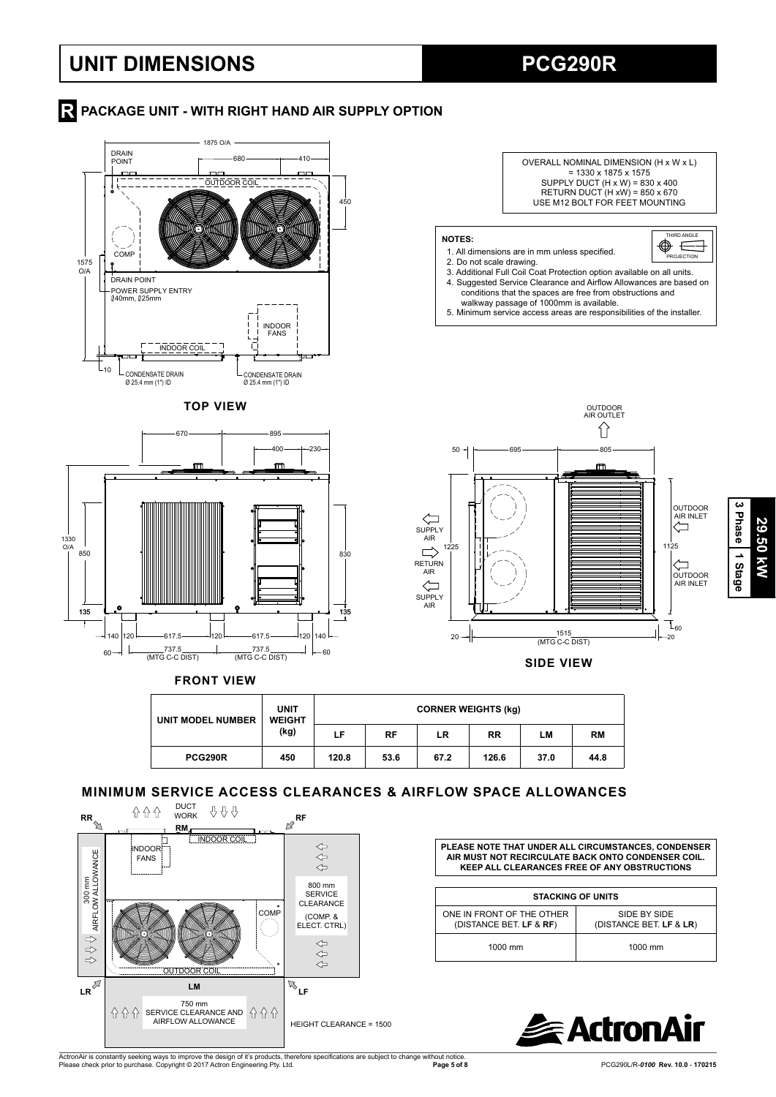## **UNIT DIMENSIONS PCG290R**

### **R** PACKAGE UNIT - WITH RIGHT HAND AIR SUPPLY OPTION







**29.50 kW**

29.50 kW

**3 Phase**

 **1 Stage**

**SIDE VIEW**

**FRONT VIEW**

| UNIT MODEL NUMBER | <b>UNIT</b><br><b>WEIGHT</b><br>(kg) | <b>CORNER WEIGHTS (kg)</b> |      |      |           |      |           |  |
|-------------------|--------------------------------------|----------------------------|------|------|-----------|------|-----------|--|
|                   |                                      | LF.                        | RF   | LR   | <b>RR</b> | LМ   | <b>RM</b> |  |
| <b>PCG290R</b>    | 450                                  | 120.8                      | 53.6 | 67.2 | 126.6     | 37.0 | 44.8      |  |

### **MINIMUM SERVICE ACCESS CLEARANCES & AIRFLOW SPACE ALLOWANCES**



**PLEASE NOTE THAT UNDER ALL CIRCUMSTANCES, CONDENSER AIR MUST NOT RECIRCULATE BACK ONTO CONDENSER COIL. KEEP ALL CLEARANCES FREE OF ANY OBSTRUCTIONS**

| <b>STACKING OF UNITS</b>                             |                                         |  |  |  |  |  |  |
|------------------------------------------------------|-----------------------------------------|--|--|--|--|--|--|
| ONE IN FRONT OF THE OTHER<br>(DISTANCE BET. LF & RF) | SIDE BY SIDE<br>(DISTANCE BET. LF & LR) |  |  |  |  |  |  |
| 1000 mm                                              | 1000 mm                                 |  |  |  |  |  |  |



ActronAir is constantly seeking ways to improve the design of it's products, therefore specifications are subject to change without notice.<br>Please check prior to purchase. Copyright © 2017 Actron Engineering Pty. Ltd.

**Page 5 of 8** PCG290L/R-*0100* **Rev. 10.0** - **170215**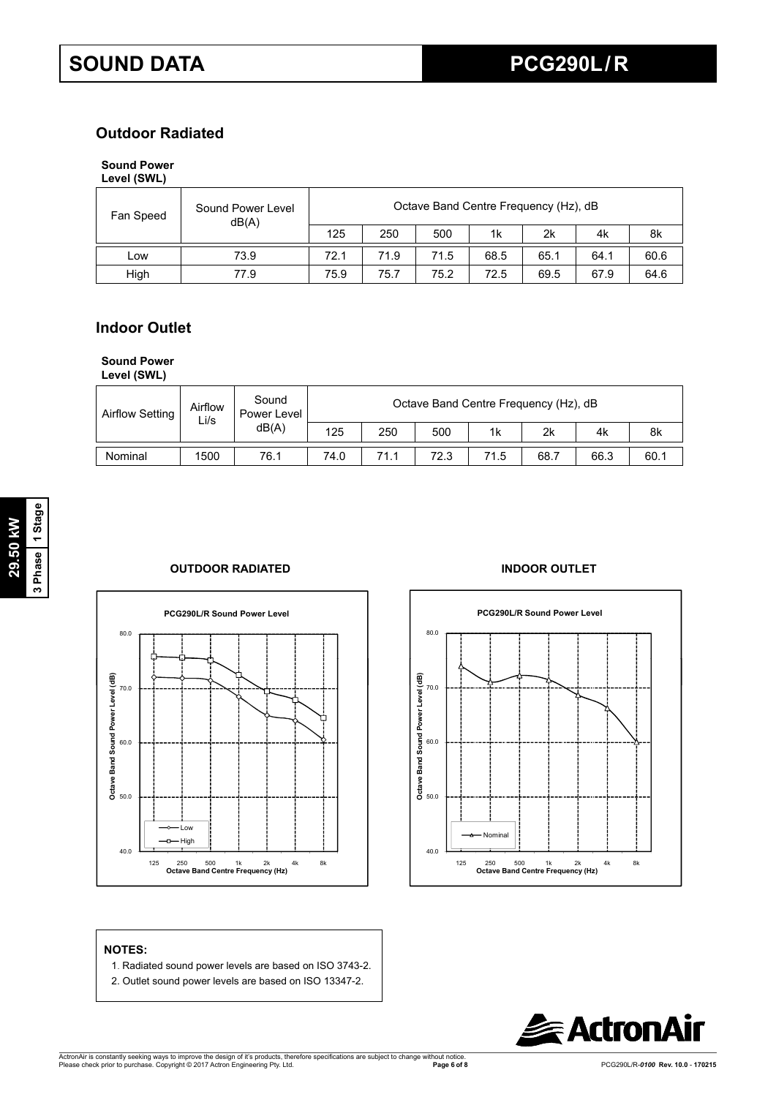### **Outdoor Radiated**

### **Sound Power**

| Level (SWL) |  |
|-------------|--|
|-------------|--|

| Fan Speed | Sound Power Level<br>dB(A) |      |      | Octave Band Centre Frequency (Hz), dB |      |      |      |      |
|-----------|----------------------------|------|------|---------------------------------------|------|------|------|------|
|           |                            | 125  | 250  | 500                                   | 1k   | 2k   | 4k   | 8k   |
| ∟ow       | 73.9                       | 72.1 | 71.9 | 71.5                                  | 68.5 | 65.1 | 64.1 | 60.6 |
| High      | 77.9                       | 75.9 | 75.7 | 75.2                                  | 72.5 | 69.5 | 67.9 | 64.6 |

### **Indoor Outlet**

#### **Sound Power**

**Level (SWL)**

| Airflow Setting | Airflow<br>Li/s | Sound<br>Power Level<br>dB(A) | Octave Band Centre Frequency (Hz), dB |      |      |                |      |      |      |  |
|-----------------|-----------------|-------------------------------|---------------------------------------|------|------|----------------|------|------|------|--|
|                 |                 |                               | 125                                   | 250  | 500  | 1 <sub>k</sub> | 2k   | 4k   | 8k   |  |
| Nominal         | 1500            | 76.1                          | 74.0                                  | 71.1 | 72.3 | 71.5           | 68.7 | 66.3 | 60.1 |  |

### **OUTDOOR RADIATED INDOOR OUTLET**





#### **NOTES:**

- 1. Radiated sound power levels are based on ISO 3743-2.
- 2. Outlet sound power levels are based on ISO 13347-2.

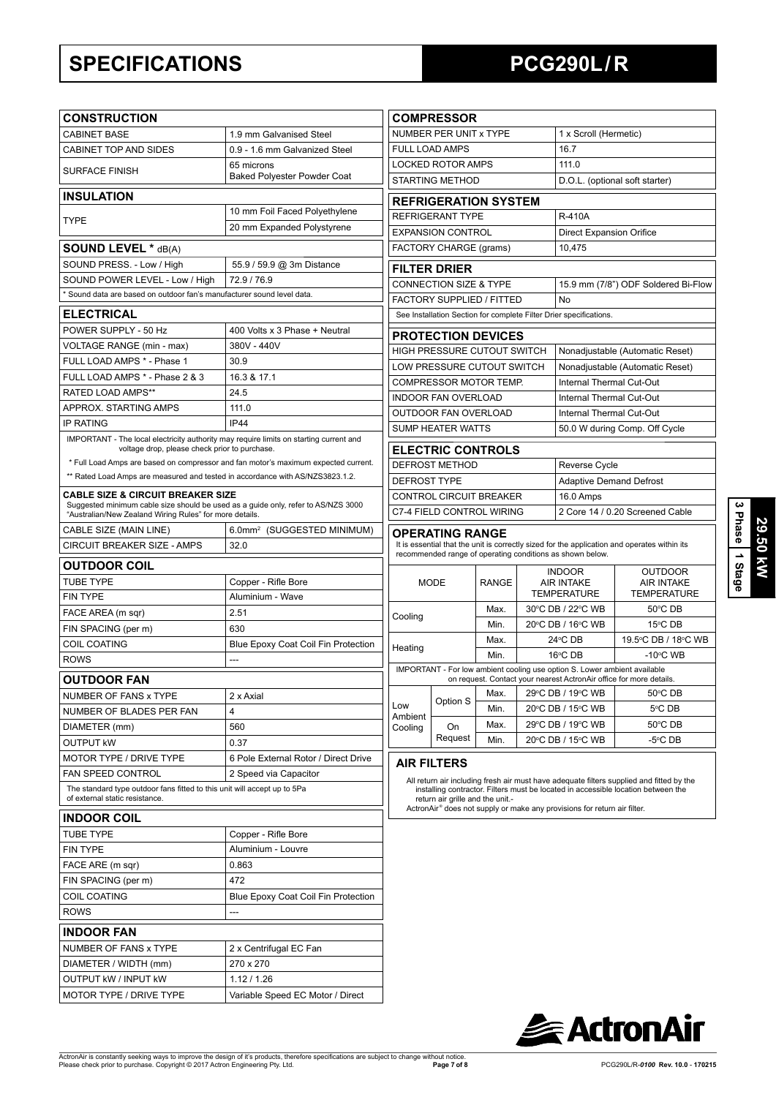## **SPECIFICATIONS PCG290L / R**

| <b>CONSTRUCTION</b>                                                                                                                     |                                                                                                                                              |                                                                                                                                                                                     | <b>COMPRESSOR</b>                                                                                                                                                                                 |                                   |                                                                    |                                                                                                                                                  |                                     |  |  |  |  |
|-----------------------------------------------------------------------------------------------------------------------------------------|----------------------------------------------------------------------------------------------------------------------------------------------|-------------------------------------------------------------------------------------------------------------------------------------------------------------------------------------|---------------------------------------------------------------------------------------------------------------------------------------------------------------------------------------------------|-----------------------------------|--------------------------------------------------------------------|--------------------------------------------------------------------------------------------------------------------------------------------------|-------------------------------------|--|--|--|--|
| <b>CABINET BASE</b>                                                                                                                     | 1.9 mm Galvanised Steel                                                                                                                      | NUMBER PER UNIT x TYPE                                                                                                                                                              |                                                                                                                                                                                                   |                                   |                                                                    | 1 x Scroll (Hermetic)                                                                                                                            |                                     |  |  |  |  |
| CABINET TOP AND SIDES                                                                                                                   | 0.9 - 1.6 mm Galvanized Steel                                                                                                                | <b>FULL LOAD AMPS</b>                                                                                                                                                               |                                                                                                                                                                                                   |                                   |                                                                    | 16.7                                                                                                                                             |                                     |  |  |  |  |
| <b>SURFACE FINISH</b>                                                                                                                   | 65 microns                                                                                                                                   | <b>LOCKED ROTOR AMPS</b>                                                                                                                                                            |                                                                                                                                                                                                   |                                   |                                                                    | 111.0                                                                                                                                            |                                     |  |  |  |  |
|                                                                                                                                         | <b>Baked Polyester Powder Coat</b>                                                                                                           | <b>STARTING METHOD</b>                                                                                                                                                              |                                                                                                                                                                                                   |                                   | D.O.L. (optional soft starter)                                     |                                                                                                                                                  |                                     |  |  |  |  |
| <b>INSULATION</b>                                                                                                                       |                                                                                                                                              |                                                                                                                                                                                     | <b>REFRIGERATION SYSTEM</b>                                                                                                                                                                       |                                   |                                                                    |                                                                                                                                                  |                                     |  |  |  |  |
| <b>TYPE</b>                                                                                                                             | 10 mm Foil Faced Polyethylene                                                                                                                | <b>REFRIGERANT TYPE</b>                                                                                                                                                             |                                                                                                                                                                                                   |                                   |                                                                    | <b>R-410A</b>                                                                                                                                    |                                     |  |  |  |  |
|                                                                                                                                         | 20 mm Expanded Polystyrene                                                                                                                   | <b>EXPANSION CONTROL</b>                                                                                                                                                            |                                                                                                                                                                                                   |                                   | <b>Direct Expansion Orifice</b>                                    |                                                                                                                                                  |                                     |  |  |  |  |
| <b>SOUND LEVEL * dB(A)</b>                                                                                                              |                                                                                                                                              | FACTORY CHARGE (grams)                                                                                                                                                              |                                                                                                                                                                                                   |                                   |                                                                    | 10,475                                                                                                                                           |                                     |  |  |  |  |
| SOUND PRESS. - Low / High<br>55.9 / 59.9 @ 3m Distance                                                                                  |                                                                                                                                              |                                                                                                                                                                                     | <b>FILTER DRIER</b>                                                                                                                                                                               |                                   |                                                                    |                                                                                                                                                  |                                     |  |  |  |  |
| SOUND POWER LEVEL - Low / High<br>72.9 / 76.9                                                                                           |                                                                                                                                              |                                                                                                                                                                                     | <b>CONNECTION SIZE &amp; TYPE</b><br>15.9 mm (7/8") ODF Soldered Bi-Flow                                                                                                                          |                                   |                                                                    |                                                                                                                                                  |                                     |  |  |  |  |
| Sound data are based on outdoor fan's manufacturer sound level data.                                                                    |                                                                                                                                              |                                                                                                                                                                                     | FACTORY SUPPLIED / FITTED<br>No                                                                                                                                                                   |                                   |                                                                    |                                                                                                                                                  |                                     |  |  |  |  |
| <b>ELECTRICAL</b>                                                                                                                       |                                                                                                                                              |                                                                                                                                                                                     |                                                                                                                                                                                                   |                                   | See Installation Section for complete Filter Drier specifications. |                                                                                                                                                  |                                     |  |  |  |  |
| POWER SUPPLY - 50 Hz                                                                                                                    | 400 Volts x 3 Phase + Neutral                                                                                                                |                                                                                                                                                                                     | <b>PROTECTION DEVICES</b>                                                                                                                                                                         |                                   |                                                                    |                                                                                                                                                  |                                     |  |  |  |  |
| VOLTAGE RANGE (min - max)                                                                                                               | 380V - 440V                                                                                                                                  | HIGH PRESSURE CUTOUT SWITCH                                                                                                                                                         |                                                                                                                                                                                                   |                                   |                                                                    | Nonadjustable (Automatic Reset)                                                                                                                  |                                     |  |  |  |  |
| FULL LOAD AMPS * - Phase 1                                                                                                              | 30.9                                                                                                                                         |                                                                                                                                                                                     | LOW PRESSURE CUTOUT SWITCH                                                                                                                                                                        |                                   |                                                                    |                                                                                                                                                  | Nonadjustable (Automatic Reset)     |  |  |  |  |
| FULL LOAD AMPS * - Phase 2 & 3                                                                                                          | 16.3 & 17.1                                                                                                                                  | COMPRESSOR MOTOR TEMP.                                                                                                                                                              |                                                                                                                                                                                                   |                                   |                                                                    | Internal Thermal Cut-Out                                                                                                                         |                                     |  |  |  |  |
| <b>RATED LOAD AMPS**</b>                                                                                                                | 24.5                                                                                                                                         | <b>INDOOR FAN OVERLOAD</b>                                                                                                                                                          |                                                                                                                                                                                                   |                                   |                                                                    | Internal Thermal Cut-Out                                                                                                                         |                                     |  |  |  |  |
| APPROX. STARTING AMPS                                                                                                                   | 111.0                                                                                                                                        |                                                                                                                                                                                     | OUTDOOR FAN OVERLOAD                                                                                                                                                                              |                                   |                                                                    | Internal Thermal Cut-Out                                                                                                                         |                                     |  |  |  |  |
| <b>IP RATING</b>                                                                                                                        | IP44                                                                                                                                         |                                                                                                                                                                                     | <b>SUMP HEATER WATTS</b>                                                                                                                                                                          |                                   |                                                                    |                                                                                                                                                  | 50.0 W during Comp. Off Cycle       |  |  |  |  |
| IMPORTANT - The local electricity authority may require limits on starting current and<br>voltage drop, please check prior to purchase. |                                                                                                                                              |                                                                                                                                                                                     | <b>ELECTRIC CONTROLS</b>                                                                                                                                                                          |                                   |                                                                    |                                                                                                                                                  |                                     |  |  |  |  |
| * Full Load Amps are based on compressor and fan motor's maximum expected current.                                                      |                                                                                                                                              |                                                                                                                                                                                     | <b>DEFROST METHOD</b>                                                                                                                                                                             |                                   |                                                                    | Reverse Cycle                                                                                                                                    |                                     |  |  |  |  |
| ** Rated Load Amps are measured and tested in accordance with AS/NZS3823.1.2.                                                           |                                                                                                                                              | <b>DEFROST TYPE</b>                                                                                                                                                                 |                                                                                                                                                                                                   |                                   |                                                                    | <b>Adaptive Demand Defrost</b>                                                                                                                   |                                     |  |  |  |  |
| <b>CABLE SIZE &amp; CIRCUIT BREAKER SIZE</b>                                                                                            |                                                                                                                                              |                                                                                                                                                                                     | CONTROL CIRCUIT BREAKER                                                                                                                                                                           |                                   |                                                                    | 16.0 Amps                                                                                                                                        |                                     |  |  |  |  |
|                                                                                                                                         | Suggested minimum cable size should be used as a guide only, refer to AS/NZS 3000<br>"Australian/New Zealand Wiring Rules" for more details. |                                                                                                                                                                                     |                                                                                                                                                                                                   | C7-4 FIELD CONTROL WIRING         |                                                                    |                                                                                                                                                  | 2 Core 14 / 0.20 Screened Cable     |  |  |  |  |
| CABLE SIZE (MAIN LINE)                                                                                                                  | 6.0mm <sup>2</sup> (SUGGESTED MINIMUM)                                                                                                       | <b>OPERATING RANGE</b><br>It is essential that the unit is correctly sized for the application and operates within its<br>recommended range of operating conditions as shown below. |                                                                                                                                                                                                   |                                   |                                                                    |                                                                                                                                                  |                                     |  |  |  |  |
| CIRCUIT BREAKER SIZE - AMPS                                                                                                             | 32.0                                                                                                                                         |                                                                                                                                                                                     |                                                                                                                                                                                                   |                                   |                                                                    |                                                                                                                                                  |                                     |  |  |  |  |
| <b>OUTDOOR COIL</b>                                                                                                                     |                                                                                                                                              |                                                                                                                                                                                     |                                                                                                                                                                                                   |                                   | <b>INDOOR</b>                                                      |                                                                                                                                                  |                                     |  |  |  |  |
| <b>TUBE TYPE</b>                                                                                                                        | Copper - Rifle Bore                                                                                                                          | <b>MODE</b>                                                                                                                                                                         |                                                                                                                                                                                                   | <b>RANGE</b>                      |                                                                    | <b>AIR INTAKE</b>                                                                                                                                | <b>OUTDOOR</b><br><b>AIR INTAKE</b> |  |  |  |  |
| <b>FIN TYPE</b>                                                                                                                         | Aluminium - Wave                                                                                                                             |                                                                                                                                                                                     |                                                                                                                                                                                                   |                                   | <b>TEMPERATURE</b>                                                 |                                                                                                                                                  | <b>TEMPERATURE</b>                  |  |  |  |  |
| FACE AREA (m sqr)                                                                                                                       | 2.51                                                                                                                                         | Cooling                                                                                                                                                                             |                                                                                                                                                                                                   | Max.<br>Min.                      |                                                                    | 30°C DB / 22°C WB                                                                                                                                | 50°C DB                             |  |  |  |  |
| FIN SPACING (per m)                                                                                                                     | 630                                                                                                                                          |                                                                                                                                                                                     |                                                                                                                                                                                                   |                                   | 20°C DB / 16°C WB                                                  |                                                                                                                                                  | 15°C DB                             |  |  |  |  |
| <b>COIL COATING</b>                                                                                                                     | Blue Epoxy Coat Coil Fin Protection                                                                                                          | Heating                                                                                                                                                                             |                                                                                                                                                                                                   | Max.                              | $24^{\circ}$ CDB                                                   |                                                                                                                                                  | 19.5°C DB / 18°C WB                 |  |  |  |  |
| <b>ROWS</b>                                                                                                                             | ---                                                                                                                                          |                                                                                                                                                                                     |                                                                                                                                                                                                   | Min.                              | 16°C DB                                                            |                                                                                                                                                  | $-10^{\circ}$ C WB                  |  |  |  |  |
| OUTDOOR FAN                                                                                                                             |                                                                                                                                              |                                                                                                                                                                                     |                                                                                                                                                                                                   |                                   |                                                                    | IMPORTANT - For low ambient cooling use option S. Lower ambient available<br>on request. Contact your nearest ActronAir office for more details. |                                     |  |  |  |  |
| NUMBER OF FANS x TYPE                                                                                                                   | 2 x Axial                                                                                                                                    |                                                                                                                                                                                     | Option S                                                                                                                                                                                          | Max. 29 °C DB / 19 °C WB 50 °C DB |                                                                    |                                                                                                                                                  |                                     |  |  |  |  |
| NUMBER OF BLADES PER FAN                                                                                                                | 4                                                                                                                                            | Low<br>Ambient                                                                                                                                                                      |                                                                                                                                                                                                   | Min.                              |                                                                    | 20°C DB / 15°C WB                                                                                                                                | 5°C DB                              |  |  |  |  |
| DIAMETER (mm)                                                                                                                           | 560                                                                                                                                          | Cooling                                                                                                                                                                             | On                                                                                                                                                                                                | Max.                              | 29°C DB / 19°C WB                                                  |                                                                                                                                                  | 50°C DB                             |  |  |  |  |
| <b>OUTPUT KW</b>                                                                                                                        | 0.37                                                                                                                                         |                                                                                                                                                                                     | Request                                                                                                                                                                                           | Min.                              | 20°C DB / 15°C WB                                                  |                                                                                                                                                  | -5°C DB                             |  |  |  |  |
| MOTOR TYPE / DRIVE TYPE                                                                                                                 | 6 Pole External Rotor / Direct Drive                                                                                                         |                                                                                                                                                                                     | <b>AIR FILTERS</b>                                                                                                                                                                                |                                   |                                                                    |                                                                                                                                                  |                                     |  |  |  |  |
| FAN SPEED CONTROL                                                                                                                       | 2 Speed via Capacitor                                                                                                                        |                                                                                                                                                                                     | All return air including fresh air must have adequate filters supplied and fitted by the                                                                                                          |                                   |                                                                    |                                                                                                                                                  |                                     |  |  |  |  |
| The standard type outdoor fans fitted to this unit will accept up to 5Pa<br>of external static resistance.                              |                                                                                                                                              |                                                                                                                                                                                     | installing contractor. Filters must be located in accessible location between the<br>return air grille and the unit.-<br>ActronAir® does not supply or make any provisions for return air filter. |                                   |                                                                    |                                                                                                                                                  |                                     |  |  |  |  |
| <b>INDOOR COIL</b>                                                                                                                      |                                                                                                                                              |                                                                                                                                                                                     |                                                                                                                                                                                                   |                                   |                                                                    |                                                                                                                                                  |                                     |  |  |  |  |
| <b>TUBE TYPE</b>                                                                                                                        | Copper - Rifle Bore                                                                                                                          |                                                                                                                                                                                     |                                                                                                                                                                                                   |                                   |                                                                    |                                                                                                                                                  |                                     |  |  |  |  |
| <b>FIN TYPE</b>                                                                                                                         | Aluminium - Louvre                                                                                                                           |                                                                                                                                                                                     |                                                                                                                                                                                                   |                                   |                                                                    |                                                                                                                                                  |                                     |  |  |  |  |
| FACE ARE (m sqr)                                                                                                                        | 0.863                                                                                                                                        |                                                                                                                                                                                     |                                                                                                                                                                                                   |                                   |                                                                    |                                                                                                                                                  |                                     |  |  |  |  |
| FIN SPACING (per m)                                                                                                                     | 472                                                                                                                                          |                                                                                                                                                                                     |                                                                                                                                                                                                   |                                   |                                                                    |                                                                                                                                                  |                                     |  |  |  |  |
| <b>COIL COATING</b><br>Blue Epoxy Coat Coil Fin Protection                                                                              |                                                                                                                                              |                                                                                                                                                                                     |                                                                                                                                                                                                   |                                   |                                                                    |                                                                                                                                                  |                                     |  |  |  |  |
| <b>ROWS</b><br>---                                                                                                                      |                                                                                                                                              |                                                                                                                                                                                     |                                                                                                                                                                                                   |                                   |                                                                    |                                                                                                                                                  |                                     |  |  |  |  |
| <b>INDOOR FAN</b>                                                                                                                       |                                                                                                                                              |                                                                                                                                                                                     |                                                                                                                                                                                                   |                                   |                                                                    |                                                                                                                                                  |                                     |  |  |  |  |
| NUMBER OF FANS x TYPE                                                                                                                   | 2 x Centrifugal EC Fan                                                                                                                       |                                                                                                                                                                                     |                                                                                                                                                                                                   |                                   |                                                                    |                                                                                                                                                  |                                     |  |  |  |  |
| DIAMETER / WIDTH (mm)                                                                                                                   | 270 x 270                                                                                                                                    |                                                                                                                                                                                     |                                                                                                                                                                                                   |                                   |                                                                    |                                                                                                                                                  |                                     |  |  |  |  |
| <b>OUTPUT KW / INPUT KW</b>                                                                                                             | 1.12 / 1.26                                                                                                                                  |                                                                                                                                                                                     |                                                                                                                                                                                                   |                                   |                                                                    |                                                                                                                                                  |                                     |  |  |  |  |
| MOTOR TYPE / DRIVE TYPE                                                                                                                 | Variable Speed EC Motor / Direct                                                                                                             |                                                                                                                                                                                     |                                                                                                                                                                                                   |                                   |                                                                    |                                                                                                                                                  |                                     |  |  |  |  |